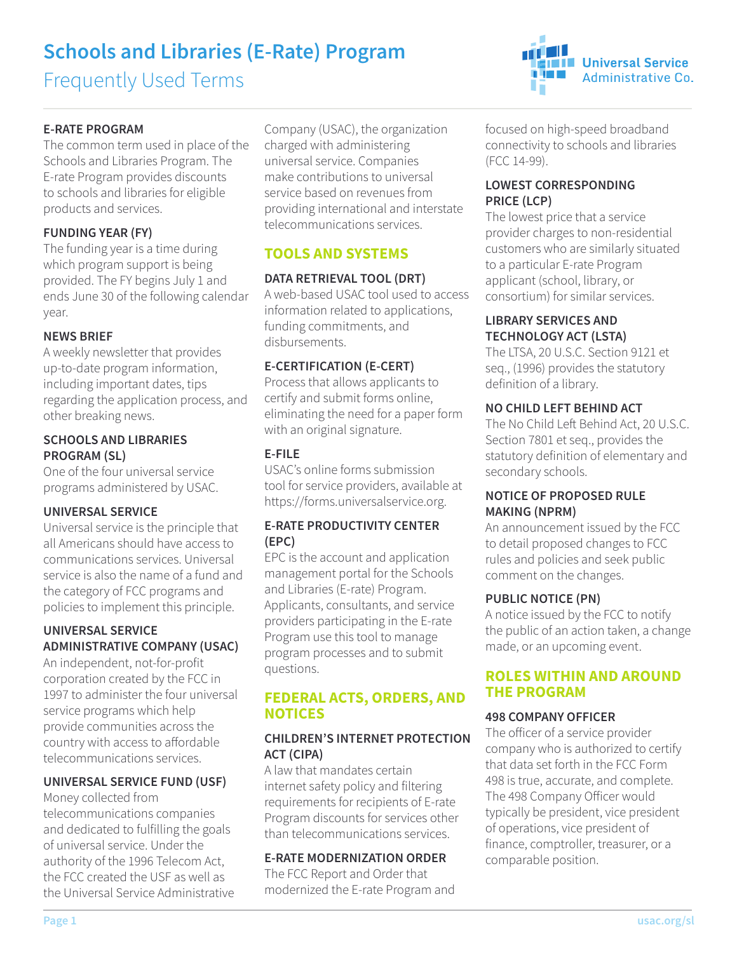# **Schools and Libraries (E-Rate) Program**

Frequently Used Terms

## **E-RATE PROGRAM**

The common term used in place of the Schools and Libraries Program. The E-rate Program provides discounts to schools and libraries for eligible products and services.

## **FUNDING YEAR (FY)**

The funding year is a time during which program support is being provided. The FY begins July 1 and ends June 30 of the following calendar year.

## **NEWS BRIEF**

A weekly newsletter that provides up-to-date program information, including important dates, tips regarding the application process, and other breaking news.

#### **SCHOOLS AND LIBRARIES PROGRAM (SL)**

One of the four universal service programs administered by USAC.

#### **UNIVERSAL SERVICE**

Universal service is the principle that all Americans should have access to communications services. Universal service is also the name of a fund and the category of FCC programs and policies to implement this principle.

#### **UNIVERSAL SERVICE ADMINISTRATIVE COMPANY (USAC)**

An independent, not-for-profit corporation created by the FCC in 1997 to administer the four universal service programs which help provide communities across the country with access to afordable telecommunications services.

## **UNIVERSAL SERVICE FUND (USF)**

Money collected from telecommunications companies and dedicated to fulfilling the goals of universal service. Under the authority of the 1996 Telecom Act, the FCC created the USF as well as the Universal Service Administrative Company (USAC), the organization charged with administering universal service. Companies make contributions to universal service based on revenues from providing international and interstate telecommunications services.

## **TOOLS AND SYSTEMS**

## **DATA RETRIEVAL TOOL (DRT)**

A web-based USAC tool used to access information related to applications, funding commitments, and disbursements.

#### **E-CERTIFICATION (E-CERT)**

Process that allows applicants to certify and submit forms online, eliminating the need for a paper form with an original signature.

#### **E-FILE**

USAC's online forms submission tool for service providers, available at [https://forms.universalservice.org.](https://forms.universalservice.org)

## **E-RATE PRODUCTIVITY CENTER (EPC)**

EPC is the account and application management portal for the Schools and Libraries (E-rate) Program. Applicants, consultants, and service providers participating in the E-rate Program use this tool to manage program processes and to submit questions.

## **FEDERAL ACTS, ORDERS, AND NOTICES**

#### **CHILDREN'S INTERNET PROTECTION ACT (CIPA)**

A law that mandates certain internet safety policy and filtering requirements for recipients of E-rate Program discounts for services other than telecommunications services.

## **E-RATE MODERNIZATION ORDER**

The FCC Report and Order that modernized the E-rate Program and focused on high-speed broadband connectivity to schools and libraries (FCC 14-99).

**Universal Service** 

Administrative Co.

#### **LOWEST CORRESPONDING PRICE (LCP)**

t Tale

The lowest price that a service provider charges to non-residential customers who are similarly situated to a particular E-rate Program applicant (school, library, or consortium) for similar services.

### **LIBRARY SERVICES AND TECHNOLOGY ACT (LSTA)**

The LTSA, 20 U.S.C. Section 9121 et seq., (1996) provides the statutory definition of a library.

## **NO CHILD LEFT BEHIND ACT**

The No Child Left Behind Act, 20 U.S.C. Section 7801 et seq., provides the statutory definition of elementary and secondary schools.

## **NOTICE OF PROPOSED RULE MAKING (NPRM)**

An announcement issued by the FCC to detail proposed changes to FCC rules and policies and seek public comment on the changes.

#### **PUBLIC NOTICE (PN)**

A notice issued by the FCC to notify the public of an action taken, a change made, or an upcoming event.

## **ROLES WITHIN AND AROUND THE PROGRAM**

#### **498 COMPANY OFFICER**

The oficer of a service provider company who is authorized to certify that data set forth in the FCC Form 498 is true, accurate, and complete. The 498 Company Oficer would typically be president, vice president of operations, vice president of finance, comptroller, treasurer, or a comparable position.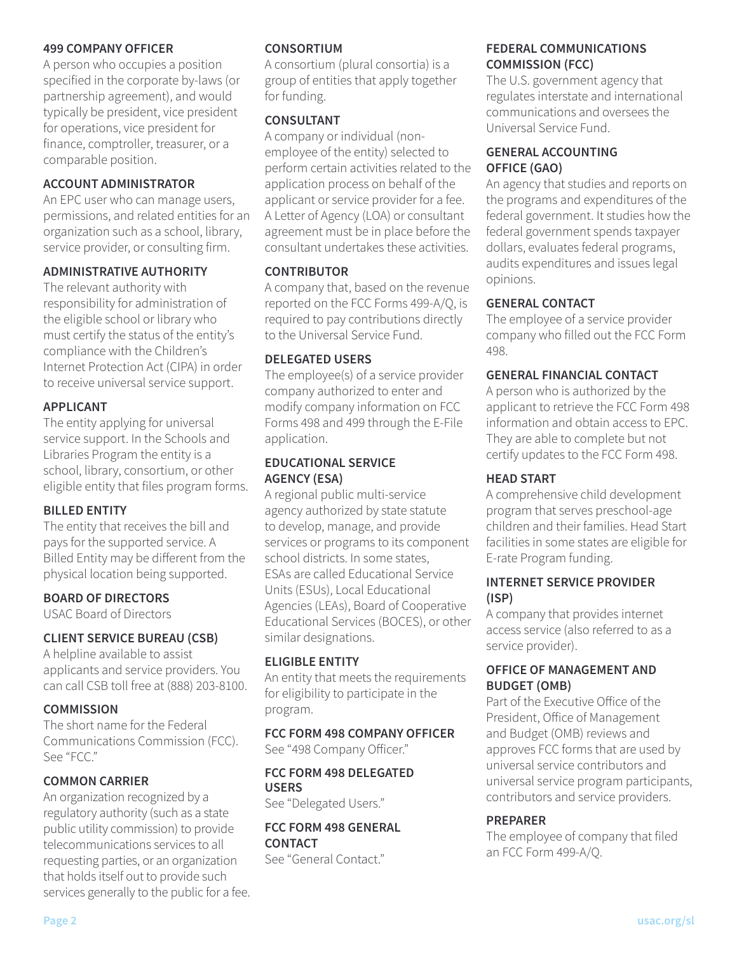#### **499 COMPANY OFFICER**

A person who occupies a position specified in the corporate by-laws (or partnership agreement), and would typically be president, vice president for operations, vice president for finance, comptroller, treasurer, or a comparable position.

#### **ACCOUNT ADMINISTRATOR**

An EPC user who can manage users, permissions, and related entities for an organization such as a school, library, service provider, or consulting firm.

#### **ADMINISTRATIVE AUTHORITY**

The relevant authority with responsibility for administration of the eligible school or library who must certify the status of the entity's compliance with the Children's Internet Protection Act (CIPA) in order to receive universal service support.

#### **APPLICANT**

The entity applying for universal service support. In the Schools and Libraries Program the entity is a school, library, consortium, or other eligible entity that files program forms.

## **BILLED ENTITY**

The entity that receives the bill and pays for the supported service. A Billed Entity may be diferent from the physical location being supported.

## **BOARD OF DIRECTORS**

USAC Board of Directors

## **CLIENT SERVICE BUREAU (CSB)**

A helpline available to assist applicants and service providers. You can call CSB toll free at (888) 203-8100.

## **COMMISSION**

The short name for the Federal Communications Commission (FCC). See "FCC."

## **COMMON CARRIER**

An organization recognized by a regulatory authority (such as a state public utility commission) to provide telecommunications services to all requesting parties, or an organization that holds itself out to provide such services generally to the public for a fee.

#### **CONSORTIUM**

A consortium (plural consortia) is a group of entities that apply together for funding.

### **CONSULTANT**

A company or individual (nonemployee of the entity) selected to perform certain activities related to the application process on behalf of the applicant or service provider for a fee. A Letter of Agency (LOA) or consultant agreement must be in place before the consultant undertakes these activities.

#### **CONTRIBUTOR**

A company that, based on the revenue reported on the FCC Forms 499-A/Q, is required to pay contributions directly to the Universal Service Fund.

#### **DELEGATED USERS**

The employee(s) of a service provider company authorized to enter and modify company information on FCC Forms 498 and 499 through the E-File application.

### **EDUCATIONAL SERVICE AGENCY (ESA)**

A regional public multi-service agency authorized by state statute to develop, manage, and provide services or programs to its component school districts. In some states, ESAs are called Educational Service Units (ESUs), Local Educational Agencies (LEAs), Board of Cooperative Educational Services (BOCES), or other similar designations.

#### **ELIGIBLE ENTITY**

An entity that meets the requirements for eligibility to participate in the program.

#### **FCC FORM 498 COMPANY OFFICER**  See "498 Company Oficer."

#### **FCC FORM 498 DELEGATED USERS**

See "Delegated Users."

## **FCC FORM 498 GENERAL CONTACT**

See "General Contact."

## **FEDERAL COMMUNICATIONS COMMISSION (FCC)**

The U.S. government agency that regulates interstate and international communications and oversees the Universal Service Fund.

## **GENERAL ACCOUNTING OFFICE (GAO)**

An agency that studies and reports on the programs and expenditures of the federal government. It studies how the federal government spends taxpayer dollars, evaluates federal programs, audits expenditures and issues legal opinions.

#### **GENERAL CONTACT**

The employee of a service provider company who filled out the FCC Form 498.

#### **GENERAL FINANCIAL CONTACT**

A person who is authorized by the applicant to retrieve the FCC Form 498 information and obtain access to EPC. They are able to complete but not certify updates to the FCC Form 498.

### **HEAD START**

A comprehensive child development program that serves preschool-age children and their families. Head Start facilities in some states are eligible for E-rate Program funding.

#### **INTERNET SERVICE PROVIDER (ISP)**

A company that provides internet access service (also referred to as a service provider).

## **OFFICE OF MANAGEMENT AND BUDGET (OMB)**

Part of the Executive Ofice of the President, Ofice of Management and Budget (OMB) reviews and approves FCC forms that are used by universal service contributors and universal service program participants, contributors and service providers.

## **PREPARER**

The employee of company that filed an FCC Form 499-A/Q.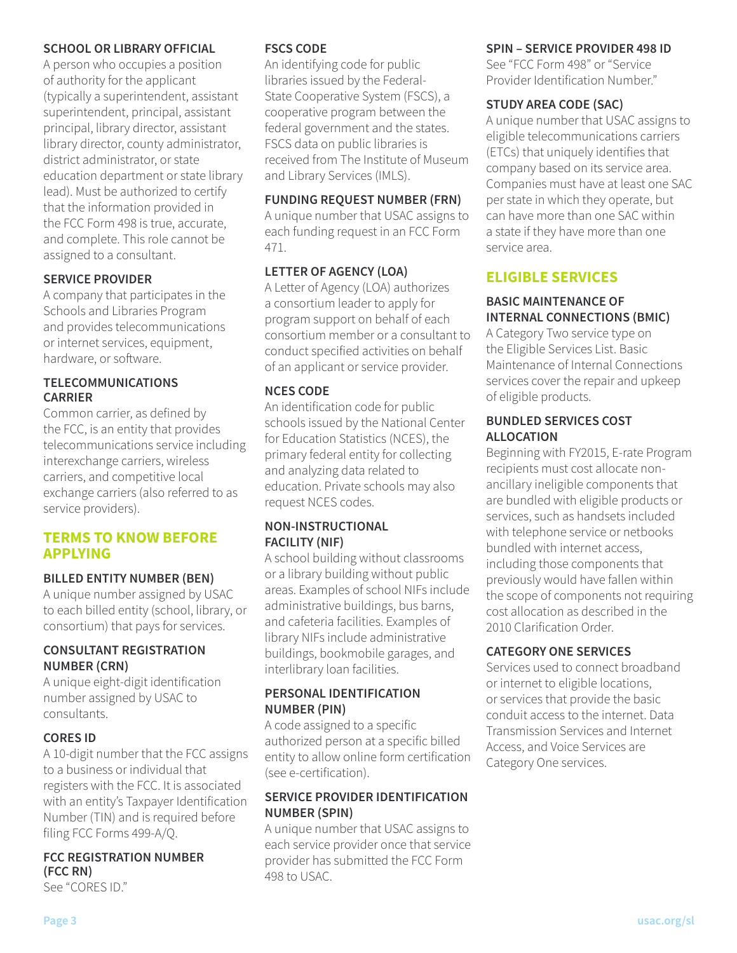#### **SCHOOL OR LIBRARY OFFICIAL**

A person who occupies a position of authority for the applicant (typically a superintendent, assistant superintendent, principal, assistant principal, library director, assistant library director, county administrator, district administrator, or state education department or state library lead). Must be authorized to certify that the information provided in the FCC Form 498 is true, accurate, and complete. This role cannot be assigned to a consultant.

## **SERVICE PROVIDER**

A company that participates in the Schools and Libraries Program and provides telecommunications or internet services, equipment, hardware, or software.

### **TELECOMMUNICATIONS CARRIER**

Common carrier, as defined by the FCC, is an entity that provides telecommunications service including interexchange carriers, wireless carriers, and competitive local exchange carriers (also referred to as service providers).

## **TERMS TO KNOW BEFORE APPLYING**

## **BILLED ENTITY NUMBER (BEN)**

A unique number assigned by USAC to each billed entity (school, library, or consortium) that pays for services.

#### **CONSULTANT REGISTRATION NUMBER (CRN)**

A unique eight-digit identification number assigned by USAC to consultants.

## **CORES ID**

A 10-digit number that the FCC assigns to a business or individual that registers with the FCC. It is associated with an entity's Taxpayer Identification Number (TIN) and is required before filing FCC Forms 499-A/Q.

## **FCC REGISTRATION NUMBER (FCC RN)**

See "CORES ID."

### **FSCS CODE**

An identifying code for public libraries issued by the Federal-State Cooperative System (FSCS), a cooperative program between the federal government and the states. FSCS data on public libraries is received from The Institute of Museum and Library Services (IMLS).

## **FUNDING REQUEST NUMBER (FRN)**

A unique number that USAC assigns to each funding request in an FCC Form 471.

## **LETTER OF AGENCY (LOA)**

A Letter of Agency (LOA) authorizes a consortium leader to apply for program support on behalf of each consortium member or a consultant to conduct specified activities on behalf of an applicant or service provider.

## **NCES CODE**

An identification code for public schools issued by the National Center for Education Statistics (NCES), the primary federal entity for collecting and analyzing data related to education. Private schools may also request NCES codes.

#### **NON-INSTRUCTIONAL FACILITY (NIF)**

A school building without classrooms or a library building without public areas. Examples of school NIFs include administrative buildings, bus barns, and cafeteria facilities. Examples of library NIFs include administrative buildings, bookmobile garages, and interlibrary loan facilities.

## **PERSONAL IDENTIFICATION NUMBER (PIN)**

A code assigned to a specific authorized person at a specific billed entity to allow online form certification (see e-certification).

## **SERVICE PROVIDER IDENTIFICATION NUMBER (SPIN)**

A unique number that USAC assigns to each service provider once that service provider has submitted the FCC Form 498 to USAC.

#### **SPIN – SERVICE PROVIDER 498 ID**

See "FCC Form 498" or "Service Provider Identification Number."

## **STUDY AREA CODE (SAC)**

A unique number that USAC assigns to eligible telecommunications carriers (ETCs) that uniquely identifies that company based on its service area. Companies must have at least one SAC per state in which they operate, but can have more than one SAC within a state if they have more than one service area.

## **ELIGIBLE SERVICES**

## **BASIC MAINTENANCE OF INTERNAL CONNECTIONS (BMIC)**

A Category Two service type on the Eligible Services List. Basic Maintenance of Internal Connections services cover the repair and upkeep of eligible products.

#### **BUNDLED SERVICES COST ALLOCATION**

Beginning with FY2015, E-rate Program recipients must cost allocate nonancillary ineligible components that are bundled with eligible products or services, such as handsets included with telephone service or netbooks bundled with internet access, including those components that previously would have fallen within the scope of components not requiring cost allocation as described in the 2010 Clarification Order.

## **CATEGORY ONE SERVICES**

Services used to connect broadband or internet to eligible locations, or services that provide the basic conduit access to the internet. Data Transmission Services and Internet Access, and Voice Services are Category One services.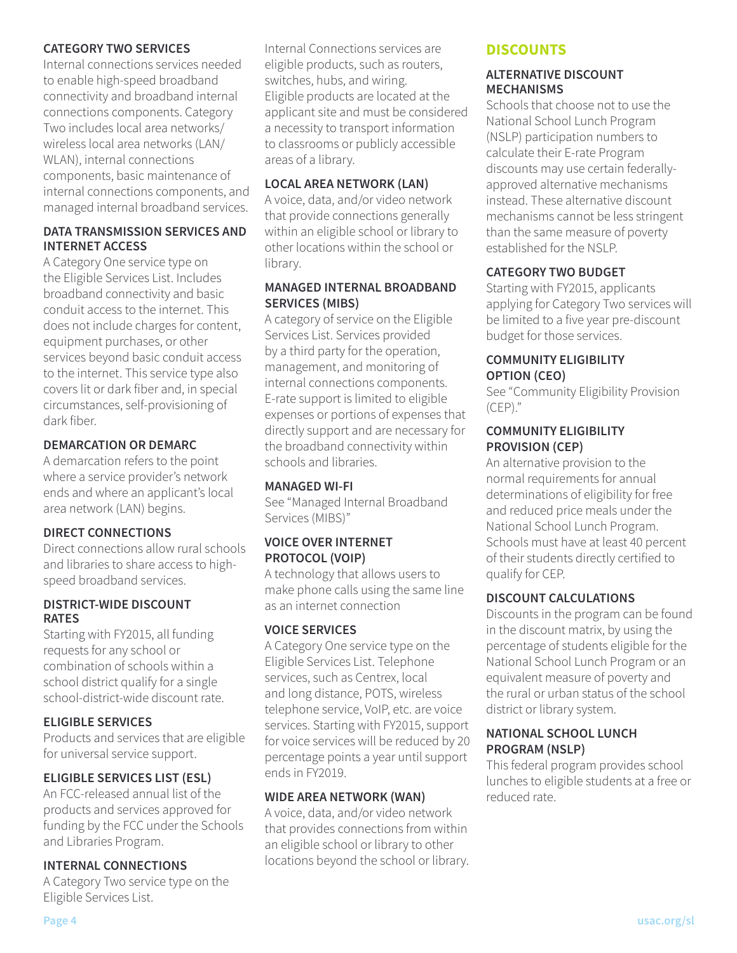#### **CATEGORY TWO SERVICES**

Internal connections services needed to enable high-speed broadband connectivity and broadband internal connections components. Category Two includes local area networks/ wireless local area networks (LAN/ WLAN), internal connections components, basic maintenance of internal connections components, and managed internal broadband services.

### **DATA TRANSMISSION SERVICES AND INTERNET ACCESS**

A Category One service type on the Eligible Services List. Includes broadband connectivity and basic conduit access to the internet. This does not include charges for content, equipment purchases, or other services beyond basic conduit access to the internet. This service type also covers lit or dark fiber and, in special circumstances, self-provisioning of dark fiber.

## **DEMARCATION OR DEMARC**

A demarcation refers to the point where a service provider's network ends and where an applicant's local area network (LAN) begins.

## **DIRECT CONNECTIONS**

Direct connections allow rural schools and libraries to share access to highspeed broadband services.

#### **DISTRICT-WIDE DISCOUNT RATES**

Starting with FY2015, all funding requests for any school or combination of schools within a school district qualify for a single school-district-wide discount rate.

## **ELIGIBLE SERVICES**

Products and services that are eligible for universal service support.

## **ELIGIBLE SERVICES LIST (ESL)**

An FCC-released annual list of the products and services approved for funding by the FCC under the Schools and Libraries Program.

## **INTERNAL CONNECTIONS**

A Category Two service type on the Eligible Services List.

Internal Connections services are eligible products, such as routers, switches, hubs, and wiring. Eligible products are located at the applicant site and must be considered a necessity to transport information to classrooms or publicly accessible areas of a library.

#### **LOCAL AREA NETWORK (LAN)**

A voice, data, and/or video network that provide connections generally within an eligible school or library to other locations within the school or library.

#### **MANAGED INTERNAL BROADBAND SERVICES (MIBS)**

A category of service on the Eligible Services List. Services provided by a third party for the operation, management, and monitoring of internal connections components. E-rate support is limited to eligible expenses or portions of expenses that directly support and are necessary for the broadband connectivity within schools and libraries.

#### **MANAGED WI-FI**

See "Managed Internal Broadband Services (MIBS)"

#### **VOICE OVER INTERNET PROTOCOL (VOIP)**

A technology that allows users to make phone calls using the same line as an internet connection

## **VOICE SERVICES**

A Category One service type on the Eligible Services List. Telephone services, such as Centrex, local and long distance, POTS, wireless telephone service, VoIP, etc. are voice services. Starting with FY2015, support for voice services will be reduced by 20 percentage points a year until support ends in FY2019.

## **WIDE AREA NETWORK (WAN)**

A voice, data, and/or video network that provides connections from within an eligible school or library to other locations beyond the school or library.

## **DISCOUNTS**

#### **ALTERNATIVE DISCOUNT MECHANISMS**

Schools that choose not to use the National School Lunch Program (NSLP) participation numbers to calculate their E-rate Program discounts may use certain federallyapproved alternative mechanisms instead. These alternative discount mechanisms cannot be less stringent than the same measure of poverty established for the NSLP.

## **CATEGORY TWO BUDGET**

Starting with FY2015, applicants applying for Category Two services will be limited to a five year pre-discount budget for those services.

## **COMMUNITY ELIGIBILITY OPTION (CEO)**

See "Community Eligibility Provision (CEP)."

#### **COMMUNITY ELIGIBILITY PROVISION (CEP)**

An alternative provision to the normal requirements for annual determinations of eligibility for free and reduced price meals under the National School Lunch Program. Schools must have at least 40 percent of their students directly certified to qualify for CEP.

## **DISCOUNT CALCULATIONS**

Discounts in the program can be found in the discount matrix, by using the percentage of students eligible for the National School Lunch Program or an equivalent measure of poverty and the rural or urban status of the school district or library system.

## **NATIONAL SCHOOL LUNCH PROGRAM (NSLP)**

This federal program provides school lunches to eligible students at a free or reduced rate.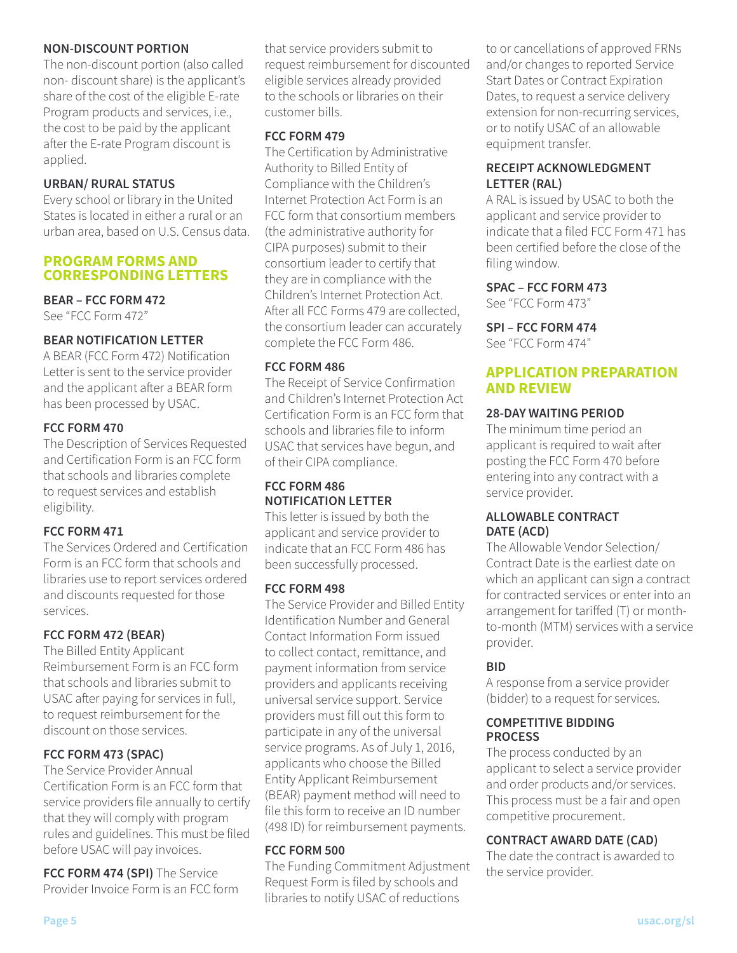#### **NON-DISCOUNT PORTION**

The non-discount portion (also called non- discount share) is the applicant's share of the cost of the eligible E-rate Program products and services, i.e., the cost to be paid by the applicant after the E-rate Program discount is applied.

## **URBAN/ RURAL STATUS**

Every school or library in the United States is located in either a rural or an urban area, based on U.S. Census data.

## **PROGRAM FORMS AND CORRESPONDING LETTERS**

## **BEAR – FCC FORM 472**

See "FCC Form 472"

## **BEAR NOTIFICATION LETTER**

A BEAR (FCC Form 472) Notification Letter is sent to the service provider and the applicant after a BEAR form has been processed by USAC.

## **FCC FORM 470**

The Description of Services Requested and Certification Form is an FCC form that schools and libraries complete to request services and establish eligibility.

## **FCC FORM 471**

The Services Ordered and Certification Form is an FCC form that schools and libraries use to report services ordered and discounts requested for those services.

## **FCC FORM 472 (BEAR)**

The Billed Entity Applicant Reimbursement Form is an FCC form that schools and libraries submit to USAC after paying for services in full, to request reimbursement for the discount on those services.

## **FCC FORM 473 (SPAC)**

The Service Provider Annual Certification Form is an FCC form that service providers file annually to certify that they will comply with program rules and guidelines. This must be filed before USAC will pay invoices.

**FCC FORM 474 (SPI)** The Service Provider Invoice Form is an FCC form that service providers submit to request reimbursement for discounted eligible services already provided to the schools or libraries on their customer bills.

## **FCC FORM 479**

The Certification by Administrative Authority to Billed Entity of Compliance with the Children's Internet Protection Act Form is an FCC form that consortium members (the administrative authority for CIPA purposes) submit to their consortium leader to certify that they are in compliance with the Children's Internet Protection Act. After all FCC Forms 479 are collected, the consortium leader can accurately complete the FCC Form 486.

## **FCC FORM 486**

The Receipt of Service Confirmation and Children's Internet Protection Act Certification Form is an FCC form that schools and libraries file to inform USAC that services have begun, and of their CIPA compliance.

## **FCC FORM 486 NOTIFICATION LETTER**

This letter is issued by both the applicant and service provider to indicate that an FCC Form 486 has been successfully processed.

## **FCC FORM 498**

The Service Provider and Billed Entity Identification Number and General Contact Information Form issued to collect contact, remittance, and payment information from service providers and applicants receiving universal service support. Service providers must fill out this form to participate in any of the universal service programs. As of July 1, 2016, applicants who choose the Billed Entity Applicant Reimbursement (BEAR) payment method will need to file this form to receive an ID number (498 ID) for reimbursement payments.

## **FCC FORM 500**

The Funding Commitment Adjustment Request Form is filed by schools and libraries to notify USAC of reductions

to or cancellations of approved FRNs and/or changes to reported Service Start Dates or Contract Expiration Dates, to request a service delivery extension for non-recurring services, or to notify USAC of an allowable equipment transfer.

## **RECEIPT ACKNOWLEDGMENT LETTER (RAL)**

A RAL is issued by USAC to both the applicant and service provider to indicate that a filed FCC Form 471 has been certified before the close of the filing window.

## **SPAC – FCC FORM 473**

See "FCC Form 473"

#### **SPI – FCC FORM 474**

See "FCC Form 474"

## **APPLICATION PREPARATION AND REVIEW**

## **28-DAY WAITING PERIOD**

The minimum time period an applicant is required to wait after posting the FCC Form 470 before entering into any contract with a service provider.

#### **ALLOWABLE CONTRACT DATE (ACD)**

The Allowable Vendor Selection/ Contract Date is the earliest date on which an applicant can sign a contract for contracted services or enter into an arrangement for tarifed (T) or monthto-month (MTM) services with a service provider.

## **BID**

A response from a service provider (bidder) to a request for services.

#### **COMPETITIVE BIDDING PROCESS**

The process conducted by an applicant to select a service provider and order products and/or services. This process must be a fair and open competitive procurement.

## **CONTRACT AWARD DATE (CAD)**

The date the contract is awarded to the service provider.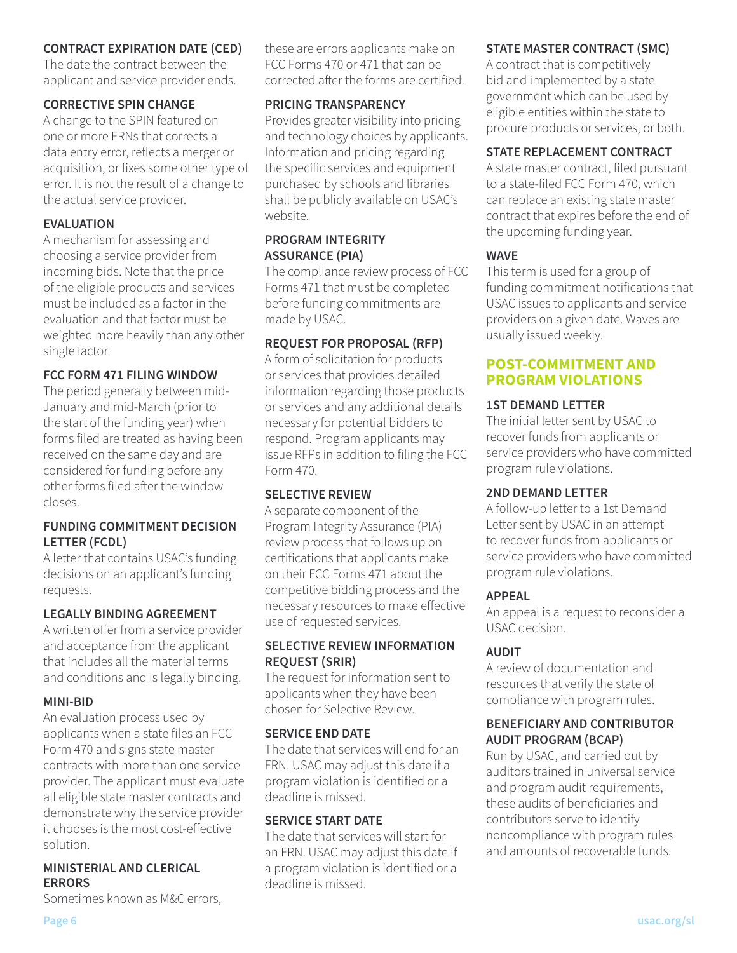### **CONTRACT EXPIRATION DATE (CED)**

The date the contract between the applicant and service provider ends.

#### **CORRECTIVE SPIN CHANGE**

A change to the SPIN featured on one or more FRNs that corrects a data entry error, reflects a merger or acquisition, or fixes some other type of error. It is not the result of a change to the actual service provider.

### **EVALUATION**

A mechanism for assessing and choosing a service provider from incoming bids. Note that the price of the eligible products and services must be included as a factor in the evaluation and that factor must be weighted more heavily than any other single factor.

#### **FCC FORM 471 FILING WINDOW**

The period generally between mid-January and mid-March (prior to the start of the funding year) when forms filed are treated as having been received on the same day and are considered for funding before any other forms filed afer the window closes.

#### **FUNDING COMMITMENT DECISION LETTER (FCDL)**

A letter that contains USAC's funding decisions on an applicant's funding requests.

## **LEGALLY BINDING AGREEMENT**

A written offer from a service provider and acceptance from the applicant that includes all the material terms and conditions and is legally binding.

## **MINI-BID**

An evaluation process used by applicants when a state files an FCC Form 470 and signs state master contracts with more than one service provider. The applicant must evaluate all eligible state master contracts and demonstrate why the service provider it chooses is the most cost-efective solution.

## **MINISTERIAL AND CLERICAL ERRORS**

Sometimes known as M&C errors,

these are errors applicants make on FCC Forms 470 or 471 that can be corrected afer the forms are certified.

#### **PRICING TRANSPARENCY**

Provides greater visibility into pricing and technology choices by applicants. Information and pricing regarding the specific services and equipment purchased by schools and libraries shall be publicly available on USAC's website.

#### **PROGRAM INTEGRITY ASSURANCE (PIA)**

The compliance review process of FCC Forms 471 that must be completed before funding commitments are made by USAC.

## **REQUEST FOR PROPOSAL (RFP)**

A form of solicitation for products or services that provides detailed information regarding those products or services and any additional details necessary for potential bidders to respond. Program applicants may issue RFPs in addition to filing the FCC Form 470.

## **SELECTIVE REVIEW**

A separate component of the Program Integrity Assurance (PIA) review process that follows up on certifications that applicants make on their FCC Forms 471 about the competitive bidding process and the necessary resources to make efective use of requested services.

## **SELECTIVE REVIEW INFORMATION REQUEST (SRIR)**

The request for information sent to applicants when they have been chosen for Selective Review.

#### **SERVICE END DATE**

The date that services will end for an FRN. USAC may adjust this date if a program violation is identified or a deadline is missed.

### **SERVICE START DATE**

The date that services will start for an FRN. USAC may adjust this date if a program violation is identified or a deadline is missed.

#### **STATE MASTER CONTRACT (SMC)**

A contract that is competitively bid and implemented by a state government which can be used by eligible entities within the state to procure products or services, or both.

## **STATE REPLACEMENT CONTRACT**

A state master contract, filed pursuant to a state-filed FCC Form 470, which can replace an existing state master contract that expires before the end of the upcoming funding year.

#### **WAVE**

This term is used for a group of funding commitment notifications that USAC issues to applicants and service providers on a given date. Waves are usually issued weekly.

### **POST-COMMITMENT AND PROGRAM VIOLATIONS**

#### **1ST DEMAND LETTER**

The initial letter sent by USAC to recover funds from applicants or service providers who have committed program rule violations.

#### **2ND DEMAND LETTER**

A follow-up letter to a 1st Demand Letter sent by USAC in an attempt to recover funds from applicants or service providers who have committed program rule violations.

## **APPEAL**

An appeal is a request to reconsider a USAC decision.

## **AUDIT**

A review of documentation and resources that verify the state of compliance with program rules.

## **BENEFICIARY AND CONTRIBUTOR AUDIT PROGRAM (BCAP)**

Run by USAC, and carried out by auditors trained in universal service and program audit requirements, these audits of beneficiaries and contributors serve to identify noncompliance with program rules and amounts of recoverable funds.